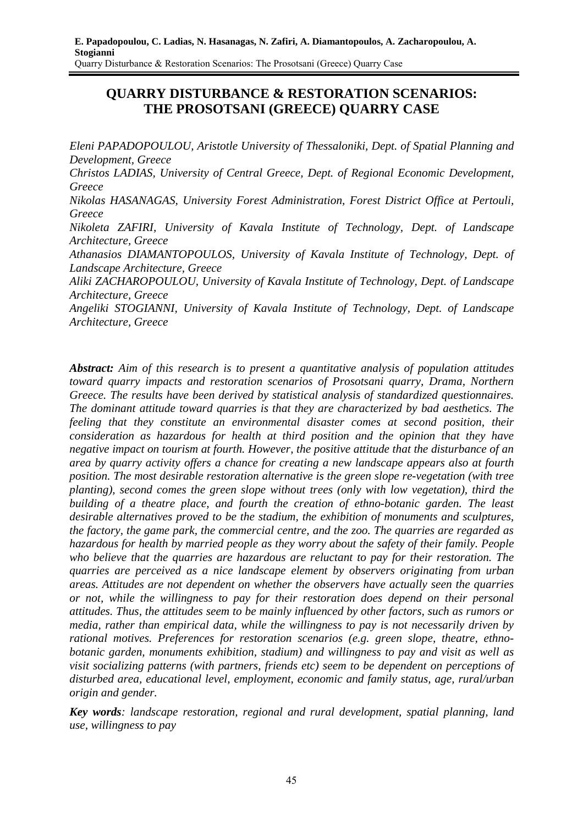# **QUARRY DISTURBANCE & RESTORATION SCENARIOS: THE PROSOTSANI (GREECE) QUARRY CASE**

*Eleni PAPADOPOULOU, Aristotle University of Thessaloniki, Dept. of Spatial Planning and Development, Greece* 

*Christos LADIAS, University of Central Greece, Dept. of Regional Economic Development, Greece* 

*Nikolas HASANAGAS, University Forest Administration, Forest District Office at Pertouli, Greece* 

*Nikoleta ZAFIRI, University of Kavala Institute of Technology, Dept. of Landscape Architecture, Greece* 

*Athanasios DIAMANTOPOULOS, University of Kavala Institute of Technology, Dept. of Landscape Architecture, Greece* 

*Aliki ZACHAROPOULOU, University of Kavala Institute of Technology, Dept. of Landscape Architecture, Greece* 

*Angeliki STOGIANNI, University of Kavala Institute of Technology, Dept. of Landscape Architecture, Greece* 

*Abstract: Aim of this research is to present a quantitative analysis of population attitudes toward quarry impacts and restoration scenarios of Prosotsani quarry, Drama, Northern Greece. The results have been derived by statistical analysis of standardized questionnaires. The dominant attitude toward quarries is that they are characterized by bad aesthetics. The feeling that they constitute an environmental disaster comes at second position, their consideration as hazardous for health at third position and the opinion that they have negative impact on tourism at fourth. However, the positive attitude that the disturbance of an area by quarry activity offers a chance for creating a new landscape appears also at fourth position. The most desirable restoration alternative is the green slope re-vegetation (with tree planting), second comes the green slope without trees (only with low vegetation), third the building of a theatre place, and fourth the creation of ethno-botanic garden. The least desirable alternatives proved to be the stadium, the exhibition of monuments and sculptures, the factory, the game park, the commercial centre, and the zoo. The quarries are regarded as hazardous for health by married people as they worry about the safety of their family. People who believe that the quarries are hazardous are reluctant to pay for their restoration. The quarries are perceived as a nice landscape element by observers originating from urban areas. Attitudes are not dependent on whether the observers have actually seen the quarries or not, while the willingness to pay for their restoration does depend on their personal attitudes. Thus, the attitudes seem to be mainly influenced by other factors, such as rumors or media, rather than empirical data, while the willingness to pay is not necessarily driven by rational motives. Preferences for restoration scenarios (e.g. green slope, theatre, ethnobotanic garden, monuments exhibition, stadium) and willingness to pay and visit as well as visit socializing patterns (with partners, friends etc) seem to be dependent on perceptions of disturbed area, educational level, employment, economic and family status, age, rural/urban origin and gender.* 

*Key words: landscape restoration, regional and rural development, spatial planning, land use, willingness to pay*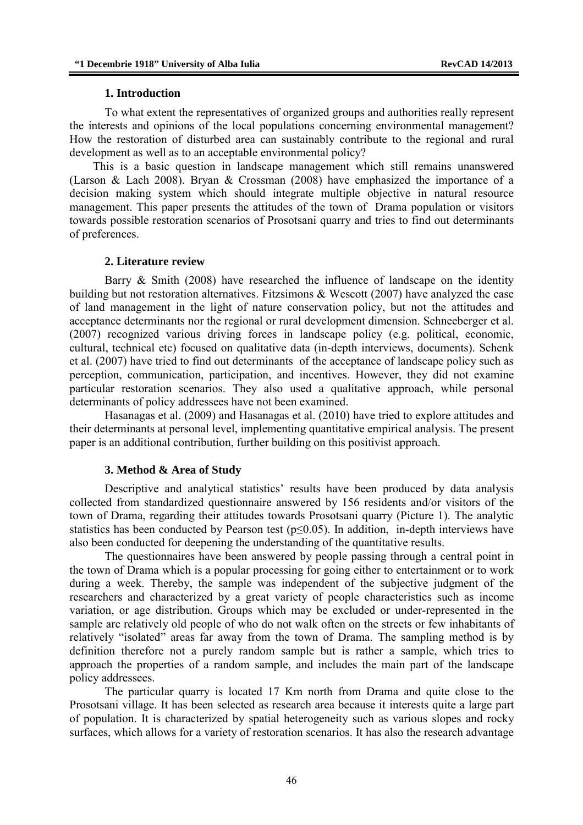### **1. Introduction**

To what extent the representatives of organized groups and authorities really represent the interests and opinions of the local populations concerning environmental management? How the restoration of disturbed area can sustainably contribute to the regional and rural development as well as to an acceptable environmental policy?

 This is a basic question in landscape management which still remains unanswered (Larson & Lach 2008). Bryan & Crossman (2008) have emphasized the importance of a decision making system which should integrate multiple objective in natural resource management. This paper presents the attitudes of the town of Drama population or visitors towards possible restoration scenarios of Prosotsani quarry and tries to find out determinants of preferences.

### **2. Literature review**

Barry & Smith (2008) have researched the influence of landscape on the identity building but not restoration alternatives. Fitzsimons & Wescott (2007) have analyzed the case of land management in the light of nature conservation policy, but not the attitudes and acceptance determinants nor the regional or rural development dimension. Schneeberger et al. (2007) recognized various driving forces in landscape policy (e.g. political, economic, cultural, technical etc) focused on qualitative data (in-depth interviews, documents). Schenk et al. (2007) have tried to find out determinants of the acceptance of landscape policy such as perception, communication, participation, and incentives. However, they did not examine particular restoration scenarios. They also used a qualitative approach, while personal determinants of policy addressees have not been examined.

Hasanagas et al. (2009) and Hasanagas et al. (2010) have tried to explore attitudes and their determinants at personal level, implementing quantitative empirical analysis. The present paper is an additional contribution, further building on this positivist approach.

### **3. Method & Area of Study**

Descriptive and analytical statistics' results have been produced by data analysis collected from standardized questionnaire answered by 156 residents and/or visitors of the town of Drama, regarding their attitudes towards Prosotsani quarry (Picture 1). The analytic statistics has been conducted by Pearson test ( $p \le 0.05$ ). In addition, in-depth interviews have also been conducted for deepening the understanding of the quantitative results.

The questionnaires have been answered by people passing through a central point in the town of Drama which is a popular processing for going either to entertainment or to work during a week. Thereby, the sample was independent of the subjective judgment of the researchers and characterized by a great variety of people characteristics such as income variation, or age distribution. Groups which may be excluded or under-represented in the sample are relatively old people of who do not walk often on the streets or few inhabitants of relatively "isolated" areas far away from the town of Drama. The sampling method is by definition therefore not a purely random sample but is rather a sample, which tries to approach the properties of a random sample, and includes the main part of the landscape policy addressees.

The particular quarry is located 17 Km north from Drama and quite close to the Prosotsani village. It has been selected as research area because it interests quite a large part of population. It is characterized by spatial heterogeneity such as various slopes and rocky surfaces, which allows for a variety of restoration scenarios. It has also the research advantage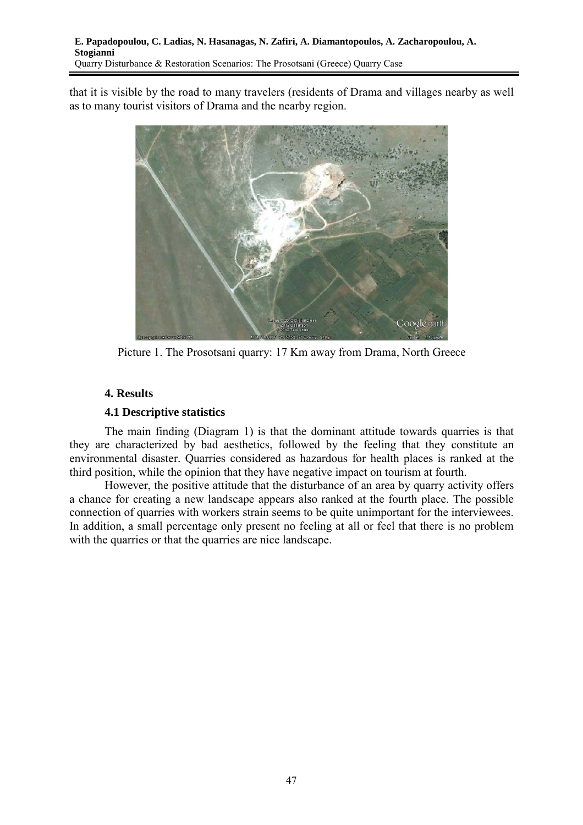that it is visible by the road to many travelers (residents of Drama and villages nearby as well as to many tourist visitors of Drama and the nearby region.



Picture 1. The Prosotsani quarry: 17 Km away from Drama, North Greece

## **4. Results**

## **4.1 Descriptive statistics**

The main finding (Diagram 1) is that the dominant attitude towards quarries is that they are characterized by bad aesthetics, followed by the feeling that they constitute an environmental disaster. Quarries considered as hazardous for health places is ranked at the third position, while the opinion that they have negative impact on tourism at fourth.

However, the positive attitude that the disturbance of an area by quarry activity offers a chance for creating a new landscape appears also ranked at the fourth place. The possible connection of quarries with workers strain seems to be quite unimportant for the interviewees. In addition, a small percentage only present no feeling at all or feel that there is no problem with the quarries or that the quarries are nice landscape.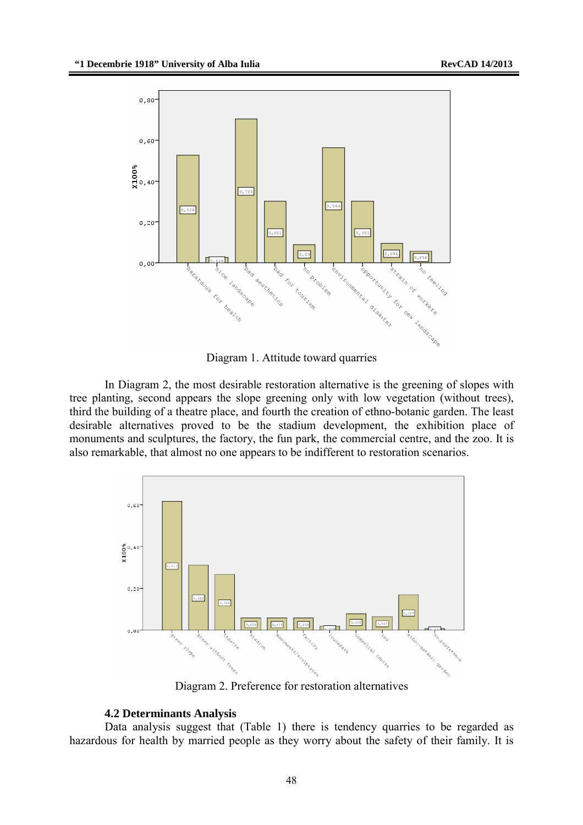

Diagram 1. Attitude toward quarries

In Diagram 2, the most desirable restoration alternative is the greening of slopes with tree planting, second appears the slope greening only with low vegetation (without trees), third the building of a theatre place, and fourth the creation of ethno-botanic garden. The least desirable alternatives proved to be the stadium development, the exhibition place of monuments and sculptures, the factory, the fun park, the commercial centre, and the zoo. It is also remarkable, that almost no one appears to be indifferent to restoration scenarios.



Diagram 2. Preference for restoration alternatives

## **4.2 Determinants Analysis**

Data analysis suggest that (Table 1) there is tendency quarries to be regarded as hazardous for health by married people as they worry about the safety of their family. It is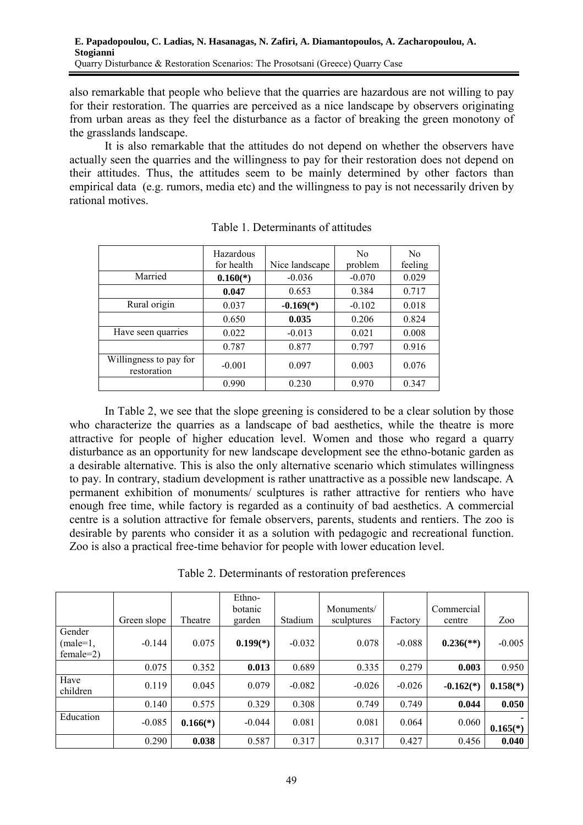also remarkable that people who believe that the quarries are hazardous are not willing to pay for their restoration. The quarries are perceived as a nice landscape by observers originating from urban areas as they feel the disturbance as a factor of breaking the green monotony of the grasslands landscape.

It is also remarkable that the attitudes do not depend on whether the observers have actually seen the quarries and the willingness to pay for their restoration does not depend on their attitudes. Thus, the attitudes seem to be mainly determined by other factors than empirical data (e.g. rumors, media etc) and the willingness to pay is not necessarily driven by rational motives.

|                                       | Hazardous<br>for health | Nice landscape | N <sub>0</sub><br>problem | N <sub>0</sub><br>feeling |
|---------------------------------------|-------------------------|----------------|---------------------------|---------------------------|
| Married                               | $0.160(*)$              | $-0.036$       | $-0.070$                  | 0.029                     |
|                                       | 0.047                   | 0.653          | 0.384                     | 0.717                     |
| Rural origin                          | 0.037                   | $-0.169(*)$    | $-0.102$                  | 0.018                     |
|                                       | 0.650                   | 0.035          | 0.206                     | 0.824                     |
| Have seen quarries                    | 0.022                   | $-0.013$       | 0.021                     | 0.008                     |
|                                       | 0.787                   | 0.877          | 0.797                     | 0.916                     |
| Willingness to pay for<br>restoration | $-0.001$                | 0.097          | 0.003                     | 0.076                     |
|                                       | 0.990                   | 0.230          | 0.970                     | 0.347                     |

Table 1. Determinants of attitudes

In Table 2, we see that the slope greening is considered to be a clear solution by those who characterize the quarries as a landscape of bad aesthetics, while the theatre is more attractive for people of higher education level. Women and those who regard a quarry disturbance as an opportunity for new landscape development see the ethno-botanic garden as a desirable alternative. This is also the only alternative scenario which stimulates willingness to pay. In contrary, stadium development is rather unattractive as a possible new landscape. A permanent exhibition of monuments/ sculptures is rather attractive for rentiers who have enough free time, while factory is regarded as a continuity of bad aesthetics. A commercial centre is a solution attractive for female observers, parents, students and rentiers. The zoo is desirable by parents who consider it as a solution with pedagogic and recreational function. Zoo is also a practical free-time behavior for people with lower education level.

| Table 2. Determinants of restoration preferences |  |
|--------------------------------------------------|--|
|--------------------------------------------------|--|

|                                     | Green slope | Theatre    | Ethno-<br>botanic<br>garden | Stadium  | Monuments/<br>sculptures | Factory  | Commercial<br>centre      | Zoo        |
|-------------------------------------|-------------|------------|-----------------------------|----------|--------------------------|----------|---------------------------|------------|
| Gender<br>$(male=1,$<br>$female=2)$ | $-0.144$    | 0.075      | $0.199(*)$                  | $-0.032$ | 0.078                    | $-0.088$ | $0.236$ <sup>(**)</sup> ) | $-0.005$   |
|                                     | 0.075       | 0.352      | 0.013                       | 0.689    | 0.335                    | 0.279    | 0.003                     | 0.950      |
| Have<br>children                    | 0.119       | 0.045      | 0.079                       | $-0.082$ | $-0.026$                 | $-0.026$ | $-0.162(*)$               | $0.158(*)$ |
|                                     | 0.140       | 0.575      | 0.329                       | 0.308    | 0.749                    | 0.749    | 0.044                     | 0.050      |
| Education                           | $-0.085$    | $0.166(*)$ | $-0.044$                    | 0.081    | 0.081                    | 0.064    | 0.060                     | $0.165(*)$ |
|                                     | 0.290       | 0.038      | 0.587                       | 0.317    | 0.317                    | 0.427    | 0.456                     | 0.040      |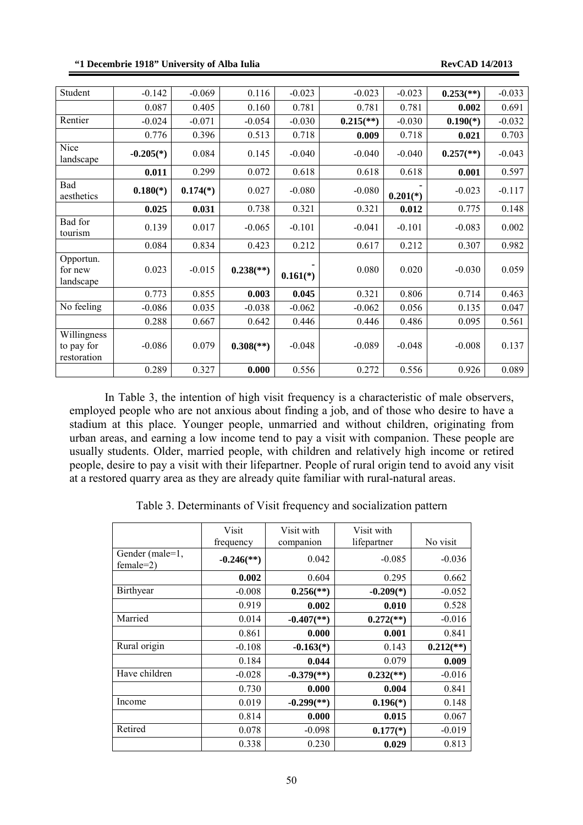### **"1 Decembrie 1918" University of Alba Iulia RevCAD 14/2013**

| Student                                  | $-0.142$    | $-0.069$   | 0.116                     | $-0.023$   | $-0.023$                | $-0.023$   | $0.253$ <sup>(**)</sup> ) | $-0.033$ |
|------------------------------------------|-------------|------------|---------------------------|------------|-------------------------|------------|---------------------------|----------|
|                                          | 0.087       | 0.405      | 0.160                     | 0.781      | 0.781                   | 0.781      | 0.002                     | 0.691    |
| Rentier                                  | $-0.024$    | $-0.071$   | $-0.054$                  | $-0.030$   | $0.215$ <sup>**</sup> ) | $-0.030$   | $0.190(*)$                | $-0.032$ |
|                                          | 0.776       | 0.396      | 0.513                     | 0.718      | 0.009                   | 0.718      | 0.021                     | 0.703    |
| Nice<br>landscape                        | $-0.205(*)$ | 0.084      | 0.145                     | $-0.040$   | $-0.040$                | $-0.040$   | $0.257$ <sup>(**)</sup> ) | $-0.043$ |
|                                          | 0.011       | 0.299      | 0.072                     | 0.618      | 0.618                   | 0.618      | 0.001                     | 0.597    |
| Bad<br>aesthetics                        | $0.180(*)$  | $0.174(*)$ | 0.027                     | $-0.080$   | $-0.080$                | $0.201(*)$ | $-0.023$                  | $-0.117$ |
|                                          | 0.025       | 0.031      | 0.738                     | 0.321      | 0.321                   | 0.012      | 0.775                     | 0.148    |
| Bad for<br>tourism                       | 0.139       | 0.017      | $-0.065$                  | $-0.101$   | $-0.041$                | $-0.101$   | $-0.083$                  | 0.002    |
|                                          | 0.084       | 0.834      | 0.423                     | 0.212      | 0.617                   | 0.212      | 0.307                     | 0.982    |
| Opportun.<br>for new<br>landscape        | 0.023       | $-0.015$   | $0.238$ <sup>(**)</sup> ) | $0.161(*)$ | 0.080                   | 0.020      | $-0.030$                  | 0.059    |
|                                          | 0.773       | 0.855      | 0.003                     | 0.045      | 0.321                   | 0.806      | 0.714                     | 0.463    |
| No feeling                               | $-0.086$    | 0.035      | $-0.038$                  | $-0.062$   | $-0.062$                | 0.056      | 0.135                     | 0.047    |
|                                          | 0.288       | 0.667      | 0.642                     | 0.446      | 0.446                   | 0.486      | 0.095                     | 0.561    |
| Willingness<br>to pay for<br>restoration | $-0.086$    | 0.079      | $0.308$ <sup>(**)</sup> ) | $-0.048$   | $-0.089$                | $-0.048$   | $-0.008$                  | 0.137    |
|                                          | 0.289       | 0.327      | 0.000                     | 0.556      | 0.272                   | 0.556      | 0.926                     | 0.089    |

In Table 3, the intention of high visit frequency is a characteristic of male observers, employed people who are not anxious about finding a job, and of those who desire to have a stadium at this place. Younger people, unmarried and without children, originating from urban areas, and earning a low income tend to pay a visit with companion. These people are usually students. Older, married people, with children and relatively high income or retired people, desire to pay a visit with their lifepartner. People of rural origin tend to avoid any visit at a restored quarry area as they are already quite familiar with rural-natural areas.

Table 3. Determinants of Visit frequency and socialization pattern

|                                | Visit<br>frequency       | Visit with<br>companion  | Visit with<br>lifepartner | No visit                |
|--------------------------------|--------------------------|--------------------------|---------------------------|-------------------------|
| Gender (male=1,<br>$female=2)$ | $-0.246$ <sup>**</sup> ) | 0.042                    | $-0.085$                  | $-0.036$                |
|                                | 0.002                    | 0.604                    | 0.295                     | 0.662                   |
| <b>Birthyear</b>               | $-0.008$                 | $0.256$ <sup>(**)</sup>  | $-0.209(*)$               | $-0.052$                |
|                                | 0.919                    | 0.002                    | 0.010                     | 0.528                   |
| Married                        | 0.014                    | $-0.407$ <sup>(**)</sup> | $0.272$ <sup>(**)</sup> ) | $-0.016$                |
|                                | 0.861                    | 0.000                    | 0.001                     | 0.841                   |
| Rural origin                   | $-0.108$                 | $-0.163(*)$              | 0.143                     | $0.212$ <sup>**</sup> ) |
|                                | 0.184                    | 0.044                    | 0.079                     | 0.009                   |
| Have children                  | $-0.028$                 | $-0.379$ <sup>(**)</sup> | $0.232$ <sup>(**)</sup>   | $-0.016$                |
|                                | 0.730                    | 0.000                    | 0.004                     | 0.841                   |
| Income                         | 0.019                    | $-0.299$ <sup>(**)</sup> | $0.196(*)$                | 0.148                   |
|                                | 0.814                    | 0.000                    | 0.015                     | 0.067                   |
| Retired                        | 0.078                    | $-0.098$                 | $0.177(*)$                | $-0.019$                |
|                                | 0.338                    | 0.230                    | 0.029                     | 0.813                   |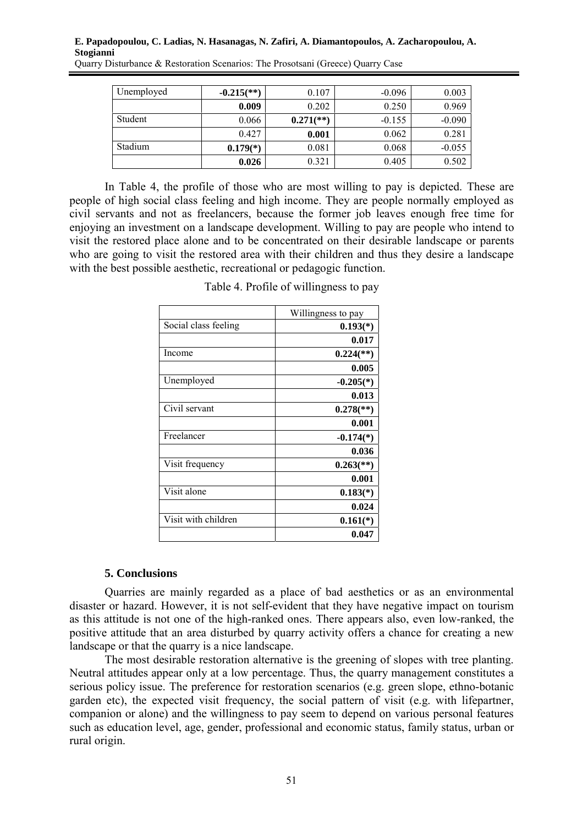| Unemployed | $-0.215$ <sup>**</sup> ) | 0.107                     | $-0.096$ | 0.003    |
|------------|--------------------------|---------------------------|----------|----------|
|            | 0.009                    | 0.202                     | 0.250    | 0.969    |
| Student    | 0.066                    | $0.271$ <sup>(**)</sup> ) | $-0.155$ | $-0.090$ |
|            | 0.427                    | 0.001                     | 0.062    | 0.281    |
| Stadium    | $0.179(*)$               | 0.081                     | 0.068    | $-0.055$ |
|            | 0.026                    | 0.321                     | 0.405    | 0.502    |

In Table 4, the profile of those who are most willing to pay is depicted. These are people of high social class feeling and high income. They are people normally employed as civil servants and not as freelancers, because the former job leaves enough free time for enjoying an investment on a landscape development. Willing to pay are people who intend to visit the restored place alone and to be concentrated on their desirable landscape or parents who are going to visit the restored area with their children and thus they desire a landscape with the best possible aesthetic, recreational or pedagogic function.

|                      | Willingness to pay        |
|----------------------|---------------------------|
| Social class feeling | $0.193(*)$                |
|                      | 0.017                     |
| Income               | $0.224$ <sup>(**)</sup> ) |
|                      | 0.005                     |
| Unemployed           | $-0.205(*)$               |
|                      | 0.013                     |
| Civil servant        | $0.278$ <sup>(**)</sup> ) |
|                      | 0.001                     |
| Freelancer           | $-0.174(*)$               |
|                      | 0.036                     |
| Visit frequency      | $0.263$ <sup>(**)</sup>   |
|                      | 0.001                     |
| Visit alone          | $0.183(*)$                |
|                      | 0.024                     |
| Visit with children  | $0.161(*)$                |
|                      | 0.047                     |

Table 4. Profile of willingness to pay

## **5. Conclusions**

Quarries are mainly regarded as a place of bad aesthetics or as an environmental disaster or hazard. However, it is not self-evident that they have negative impact on tourism as this attitude is not one of the high-ranked ones. There appears also, even low-ranked, the positive attitude that an area disturbed by quarry activity offers a chance for creating a new landscape or that the quarry is a nice landscape.

The most desirable restoration alternative is the greening of slopes with tree planting. Neutral attitudes appear only at a low percentage. Thus, the quarry management constitutes a serious policy issue. The preference for restoration scenarios (e.g. green slope, ethno-botanic garden etc), the expected visit frequency, the social pattern of visit (e.g. with lifepartner, companion or alone) and the willingness to pay seem to depend on various personal features such as education level, age, gender, professional and economic status, family status, urban or rural origin.